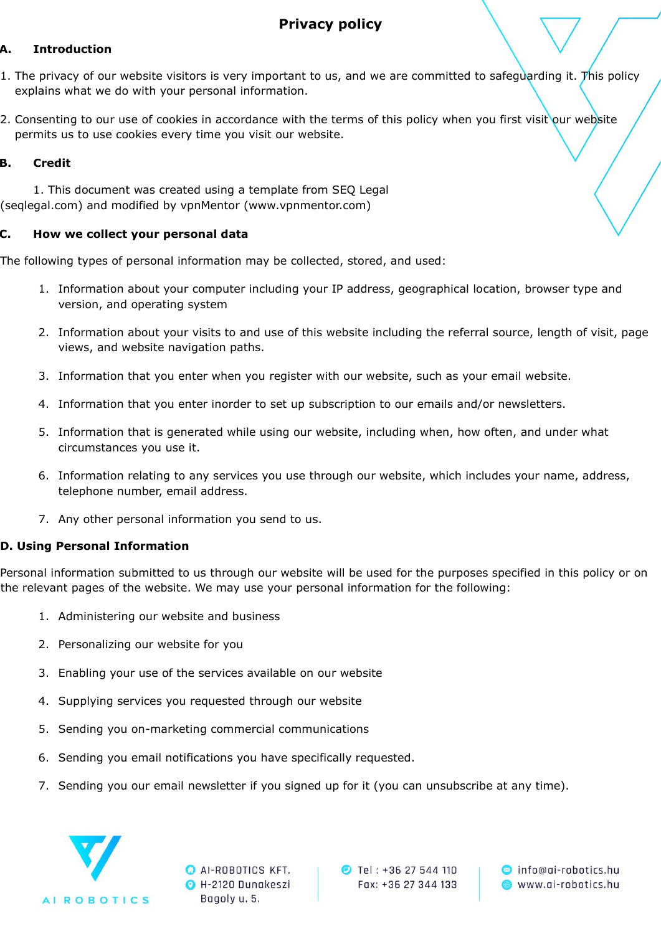# **Privacy policy**

# **A. Introduction**

- 1. The privacy of our website visitors is very important to us, and we are committed to safeguarding it. This policy explains what we do with your personal information.
- 2. Consenting to our use of cookies in accordance with the terms of this policy when you first visit our website permits us to use cookies every time you visit our website.

### **B. Credit**

1. This document was created using a template from SEQ Legal (seqlegal.com) and modified by vpnMentor (www.vpnmentor.com)

### **C. How we collect your personal data**

The following types of personal information may be collected, stored, and used:

- 1. Information about your computer including your IP address, geographical location, browser type and version, and operating system
- 2. Information about your visits to and use of this website including the referral source, length of visit, page views, and website navigation paths.
- 3. Information that you enter when you register with our website, such as your email website.
- 4. Information that you enter inorder to set up subscription to our emails and/or newsletters.
- 5. Information that is generated while using our website, including when, how often, and under what circumstances you use it.
- 6. Information relating to any services you use through our website, which includes your name, address, telephone number, email address.
- 7. Any other personal information you send to us.

# **D. Using Personal Information**

Personal information submitted to us through our website will be used for the purposes specified in this policy or on the relevant pages of the website. We may use your personal information for the following:

- 1. Administering our website and business
- 2. Personalizing our website for you
- 3. Enabling your use of the services available on our website
- 4. Supplying services you requested through our website
- 5. Sending you on-marketing commercial communications
- 6. Sending you email notifications you have specifically requested.
- 7. Sending you our email newsletter if you signed up for it (you can unsubscribe at any time).



**O** AI-ROBOTICS KFT. **O** H-2120 Dunakeszi Bagoly u. 5.

**D** Tel: +36 27 544 110 Fax: +36 27 344 133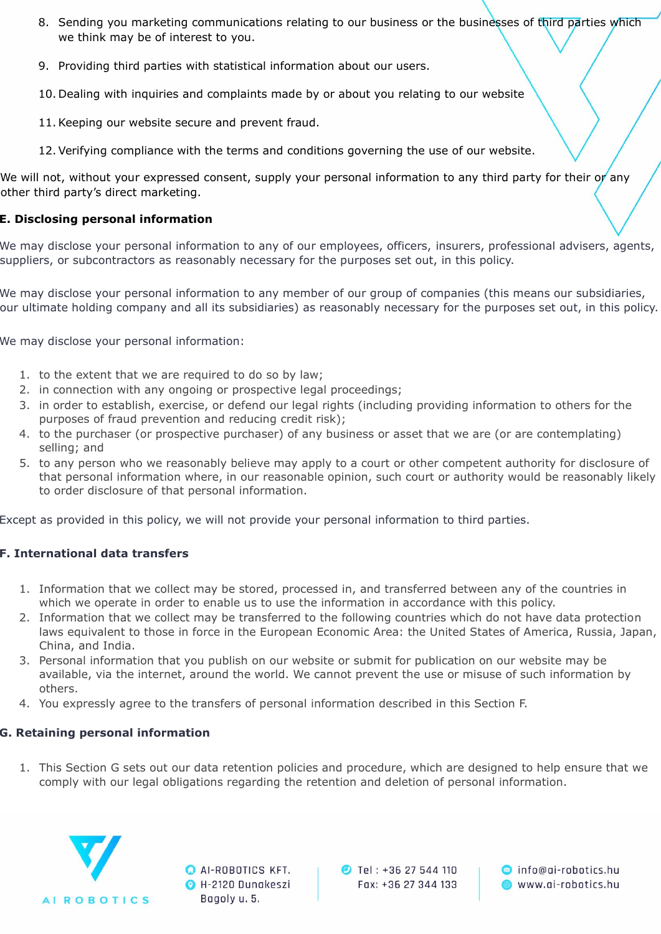- 8. Sending you marketing communications relating to our business or the businesses of third parties which we think may be of interest to you.
- 9. Providing third parties with statistical information about our users.
- 10. Dealing with inquiries and complaints made by or about you relating to our website
- 11.Keeping our website secure and prevent fraud.
- 12.Verifying compliance with the terms and conditions governing the use of our website.

We will not, without your expressed consent, supply your personal information to any third party for their or any other third party's direct marketing.

#### **E. Disclosing personal information**

We may disclose your personal information to any of our employees, officers, insurers, professional advisers, agents, suppliers, or subcontractors as reasonably necessary for the purposes set out, in this policy.

We may disclose your personal information to any member of our group of companies (this means our subsidiaries, our ultimate holding company and all its subsidiaries) as reasonably necessary for the purposes set out, in this policy.

We may disclose your personal information:

- 1. to the extent that we are required to do so by law;
- 2. in connection with any ongoing or prospective legal proceedings;
- 3. in order to establish, exercise, or defend our legal rights (including providing information to others for the purposes of fraud prevention and reducing credit risk);
- 4. to the purchaser (or prospective purchaser) of any business or asset that we are (or are contemplating) selling; and
- 5. to any person who we reasonably believe may apply to a court or other competent authority for disclosure of that personal information where, in our reasonable opinion, such court or authority would be reasonably likely to order disclosure of that personal information.

Except as provided in this policy, we will not provide your personal information to third parties.

# **F. International data transfers**

- 1. Information that we collect may be stored, processed in, and transferred between any of the countries in which we operate in order to enable us to use the information in accordance with this policy.
- 2. Information that we collect may be transferred to the following countries which do not have data protection laws equivalent to those in force in the European Economic Area: the United States of America, Russia, Japan, China, and India.
- 3. Personal information that you publish on our website or submit for publication on our website may be available, via the internet, around the world. We cannot prevent the use or misuse of such information by others.
- 4. You expressly agree to the transfers of personal information described in this Section F.

# **G. Retaining personal information**

1. This Section G sets out our data retention policies and procedure, which are designed to help ensure that we comply with our legal obligations regarding the retention and deletion of personal information.



**O** AI-ROBOTICS KFT. **O** H-2120 Dunakeszi Bagoly u. 5.

**D** Tel: +36 27 544 110 Fax: +36 27 344 133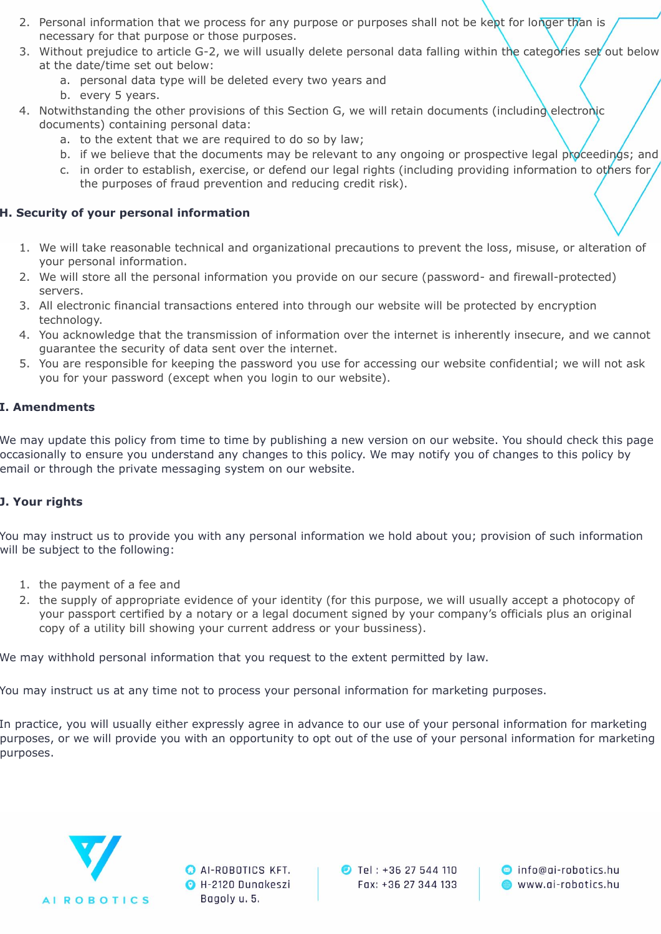- 2. Personal information that we process for any purpose or purposes shall not be kept for longer than is necessary for that purpose or those purposes.
- 3. Without prejudice to article G-2, we will usually delete personal data falling within the categories set out below at the date/time set out below:
	- a. personal data type will be deleted every two years and
	- b. every 5 years.
- 4. Notwithstanding the other provisions of this Section G, we will retain documents (including electronic documents) containing personal data:
	- a. to the extent that we are required to do so by law;
	- b. if we believe that the documents may be relevant to any ongoing or prospective legal proceedings; and
	- c. in order to establish, exercise, or defend our legal rights (including providing information to others for the purposes of fraud prevention and reducing credit risk).

# **H. Security of your personal information**

- 1. We will take reasonable technical and organizational precautions to prevent the loss, misuse, or alteration of your personal information.
- 2. We will store all the personal information you provide on our secure (password- and firewall-protected) servers.
- 3. All electronic financial transactions entered into through our website will be protected by encryption technology.
- 4. You acknowledge that the transmission of information over the internet is inherently insecure, and we cannot guarantee the security of data sent over the internet.
- 5. You are responsible for keeping the password you use for accessing our website confidential; we will not ask you for your password (except when you login to our website).

# **I. Amendments**

We may update this policy from time to time by publishing a new version on our website. You should check this page occasionally to ensure you understand any changes to this policy. We may notify you of changes to this policy by email or through the private messaging system on our website.

# **J. Your rights**

You may instruct us to provide you with any personal information we hold about you; provision of such information will be subject to the following:

- 1. the payment of a fee and
- 2. the supply of appropriate evidence of your identity (for this purpose, we will usually accept a photocopy of your passport certified by a notary or a legal document signed by your company's officials plus an original copy of a utility bill showing your current address or your bussiness).

We may withhold personal information that you request to the extent permitted by law.

You may instruct us at any time not to process your personal information for marketing purposes.

In practice, you will usually either expressly agree in advance to our use of your personal information for marketing purposes, or we will provide you with an opportunity to opt out of the use of your personal information for marketing purposes.



**O** AI-ROBOTICS KFT. **O** H-2120 Dunakeszi Bagoly u. 5.

**D** Tel: +36 27 544 110 Fax: +36 27 344 133